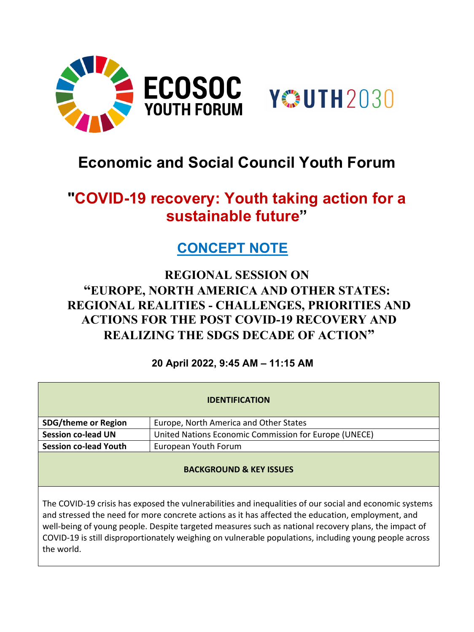



# **Economic and Social Council Youth Forum**

# **"COVID-19 recovery: Youth taking action for a sustainable future"**

### **CONCEPT NOTE**

### **REGIONAL SESSION ON "EUROPE, NORTH AMERICA AND OTHER STATES: REGIONAL REALITIES - CHALLENGES, PRIORITIES AND ACTIONS FOR THE POST COVID-19 RECOVERY AND REALIZING THE SDGS DECADE OF ACTION"**

### **20 April 2022, 9:45 AM – 11:15 AM**

| <b>IDENTIFICATION</b>              |                                                       |
|------------------------------------|-------------------------------------------------------|
| <b>SDG/theme or Region</b>         | Europe, North America and Other States                |
| <b>Session co-lead UN</b>          | United Nations Economic Commission for Europe (UNECE) |
| <b>Session co-lead Youth</b>       | European Youth Forum                                  |
| <b>BACKGROUND &amp; KEY ISSUES</b> |                                                       |

The COVID-19 crisis has exposed the vulnerabilities and inequalities of our social and economic systems and stressed the need for more concrete actions as it has affected the education, employment, and well-being of young people. Despite targeted measures such as national recovery plans, the impact of COVID-19 is still disproportionately weighing on vulnerable populations, including young people across the world.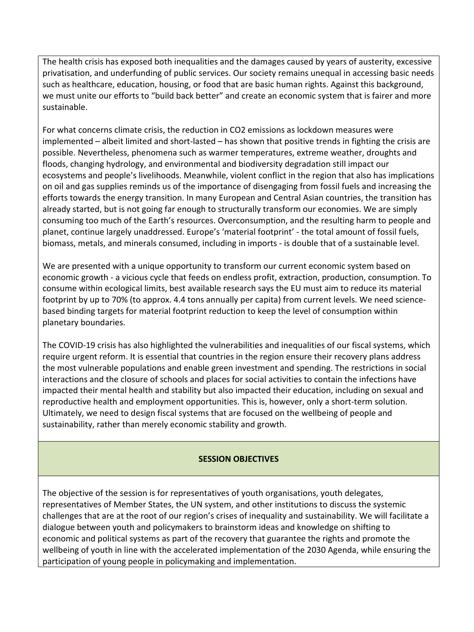The health crisis has exposed both inequalities and the damages caused by years of austerity, excessive privatisation, and underfunding of public services. Our society remains unequal in accessing basic needs such as healthcare, education, housing, or food that are basic human rights. Against this background, we must unite our efforts to "build back better" and create an economic system that is fairer and more sustainable.

For what concerns climate crisis, the reduction in CO2 emissions as lockdown measures were implemented – albeit limited and short-lasted – has shown that positive trends in fighting the crisis are possible. Nevertheless, phenomena such as warmer temperatures, extreme weather, droughts and floods, changing hydrology, and environmental and biodiversity degradation still impact our ecosystems and people's livelihoods. Meanwhile, violent conflict in the region that also has implications on oil and gas supplies reminds us of the importance of disengaging from fossil fuels and increasing the efforts towards the energy transition. In many European and Central Asian countries, the transition has already started, but is not going far enough to structurally transform our economies. We are simply consuming too much of the Earth's resources. Overconsumption, and the resulting harm to people and planet, continue largely unaddressed. Europe's 'material footprint' - the total amount of fossil fuels, biomass, metals, and minerals consumed, including in imports - is double that of a sustainable level.

We are presented with a unique opportunity to transform our current economic system based on economic growth - a vicious cycle that feeds on endless profit, extraction, production, consumption. To consume within ecological limits, best available research says the EU must aim to reduce its material footprint by up to 70% (to approx. 4.4 tons annually per capita) from current levels. We need sciencebased binding targets for material footprint reduction to keep the level of consumption within planetary boundaries.

The COVID-19 crisis has also highlighted the vulnerabilities and inequalities of our fiscal systems, which require urgent reform. It is essential that countries in the region ensure their recovery plans address the most vulnerable populations and enable green investment and spending. The restrictions in social interactions and the closure of schools and places for social activities to contain the infections have impacted their mental health and stability but also impacted their education, including on sexual and reproductive health and employment opportunities. This is, however, only a short-term solution. Ultimately, we need to design fiscal systems that are focused on the wellbeing of people and sustainability, rather than merely economic stability and growth.

#### **SESSION OBJECTIVES**

The objective of the session is for representatives of youth organisations, youth delegates, representatives of Member States, the UN system, and other institutions to discuss the systemic challenges that are at the root of our region's crises of inequality and sustainability. We will facilitate a dialogue between youth and policymakers to brainstorm ideas and knowledge on shifting to economic and political systems as part of the recovery that guarantee the rights and promote the wellbeing of youth in line with the accelerated implementation of the 2030 Agenda, while ensuring the participation of young people in policymaking and implementation.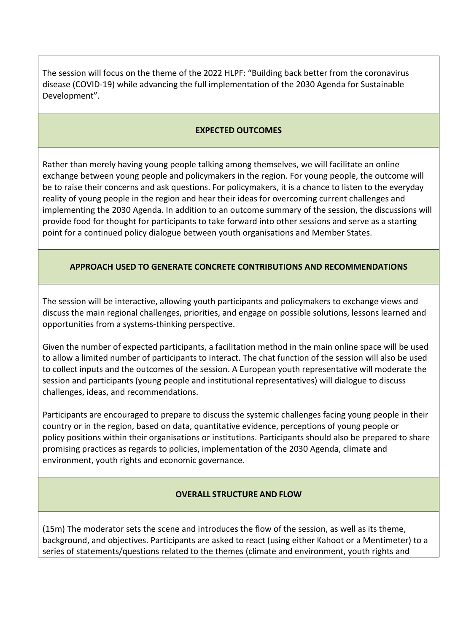The session will focus on the theme of the 2022 HLPF: "Building back better from the coronavirus disease (COVID-19) while advancing the full implementation of the 2030 Agenda for Sustainable Development".

#### **EXPECTED OUTCOMES**

Rather than merely having young people talking among themselves, we will facilitate an online exchange between young people and policymakers in the region. For young people, the outcome will be to raise their concerns and ask questions. For policymakers, it is a chance to listen to the everyday reality of young people in the region and hear their ideas for overcoming current challenges and implementing the 2030 Agenda. In addition to an outcome summary of the session, the discussions will provide food for thought for participants to take forward into other sessions and serve as a starting point for a continued policy dialogue between youth organisations and Member States.

#### **APPROACH USED TO GENERATE CONCRETE CONTRIBUTIONS AND RECOMMENDATIONS**

The session will be interactive, allowing youth participants and policymakers to exchange views and discuss the main regional challenges, priorities, and engage on possible solutions, lessons learned and opportunities from a systems-thinking perspective.

Given the number of expected participants, a facilitation method in the main online space will be used to allow a limited number of participants to interact. The chat function of the session will also be used to collect inputs and the outcomes of the session. A European youth representative will moderate the session and participants (young people and institutional representatives) will dialogue to discuss challenges, ideas, and recommendations.

Participants are encouraged to prepare to discuss the systemic challenges facing young people in their country or in the region, based on data, quantitative evidence, perceptions of young people or policy positions within their organisations or institutions. Participants should also be prepared to share promising practices as regards to policies, implementation of the 2030 Agenda, climate and environment, youth rights and economic governance.

#### **OVERALL STRUCTURE AND FLOW**

(15m) The moderator sets the scene and introduces the flow of the session, as well as its theme, background, and objectives. Participants are asked to react (using either Kahoot or a Mentimeter) to a series of statements/questions related to the themes (climate and environment, youth rights and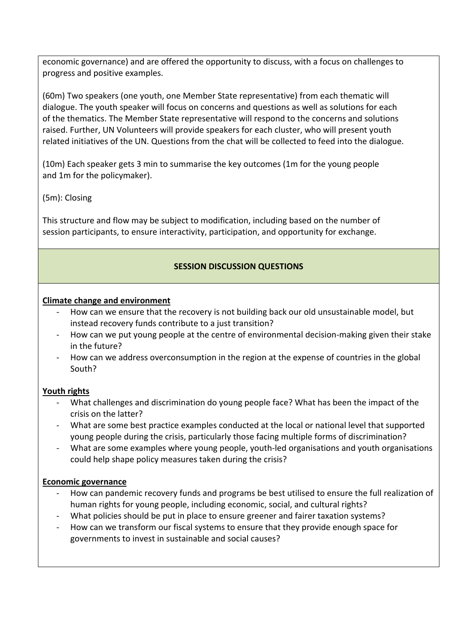economic governance) and are offered the opportunity to discuss, with a focus on challenges to progress and positive examples.

(60m) Two speakers (one youth, one Member State representative) from each thematic will dialogue. The youth speaker will focus on concerns and questions as well as solutions for each of the thematics. The Member State representative will respond to the concerns and solutions raised. Further, UN Volunteers will provide speakers for each cluster, who will present youth related initiatives of the UN. Questions from the chat will be collected to feed into the dialogue.

(10m) Each speaker gets 3 min to summarise the key outcomes (1m for the young people and 1m for the policymaker).

(5m): Closing

This structure and flow may be subject to modification, including based on the number of session participants, to ensure interactivity, participation, and opportunity for exchange.

#### **SESSION DISCUSSION QUESTIONS**

#### **Climate change and environment**

- How can we ensure that the recovery is not building back our old unsustainable model, but instead recovery funds contribute to a just transition?
- How can we put young people at the centre of environmental decision-making given their stake in the future?
- How can we address overconsumption in the region at the expense of countries in the global South?

#### **Youth rights**

- What challenges and discrimination do young people face? What has been the impact of the crisis on the latter?
- What are some best practice examples conducted at the local or national level that supported young people during the crisis, particularly those facing multiple forms of discrimination?
- What are some examples where young people, youth-led organisations and youth organisations could help shape policy measures taken during the crisis?

#### **Economic governance**

- How can pandemic recovery funds and programs be best utilised to ensure the full realization of human rights for young people, including economic, social, and cultural rights?
- What policies should be put in place to ensure greener and fairer taxation systems?
- How can we transform our fiscal systems to ensure that they provide enough space for governments to invest in sustainable and social causes?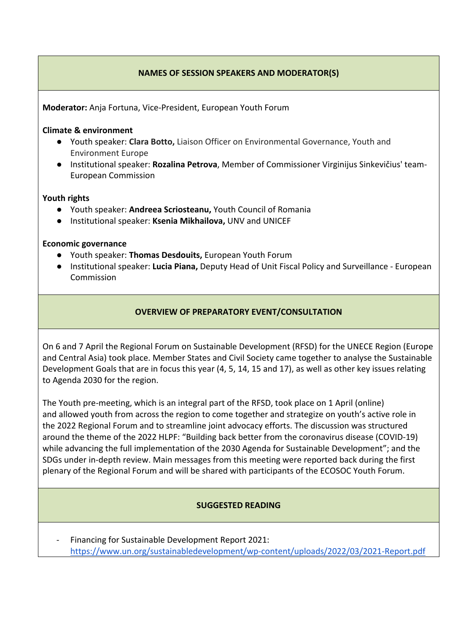#### **NAMES OF SESSION SPEAKERS AND MODERATOR(S)**

**Moderator:** Anja Fortuna, Vice-President, European Youth Forum

#### **Climate & environment**

- Youth speaker: **Clara Botto,** Liaison Officer on Environmental Governance, Youth and Environment Europe
- Institutional speaker: **Rozalina Petrova**, Member of Commissioner Virginijus Sinkevičius' team-European Commission

#### **Youth rights**

- Youth speaker: **Andreea Scriosteanu,** Youth Council of Romania
- Institutional speaker: **Ksenia Mikhailova,** UNV and UNICEF

#### **Economic governance**

- Youth speaker: **Thomas Desdouits,** European Youth Forum
- Institutional speaker: **Lucia Piana,** Deputy Head of Unit Fiscal Policy and Surveillance European Commission

#### **OVERVIEW OF PREPARATORY EVENT/CONSULTATION**

On 6 and 7 April the Regional Forum on Sustainable Development (RFSD) for the UNECE Region (Europe and Central Asia) took place. Member States and Civil Society came together to analyse the Sustainable Development Goals that are in focus this year (4, 5, 14, 15 and 17), as well as other key issues relating to Agenda 2030 for the region.

The Youth pre-meeting, which is an integral part of the RFSD, took place on 1 April (online) and allowed youth from across the region to come together and strategize on youth's active role in the 2022 Regional Forum and to streamline joint advocacy efforts. The discussion was structured around the theme of the 2022 HLPF: "Building back better from the coronavirus disease (COVID-19) while advancing the full implementation of the 2030 Agenda for Sustainable Development"; and the SDGs under in-depth review. Main messages from this meeting were reported back during the first plenary of the Regional Forum and will be shared with participants of the ECOSOC Youth Forum.

#### **SUGGESTED READING**

- Financing for Sustainable Development Report 2021: <https://www.un.org/sustainabledevelopment/wp-content/uploads/2022/03/2021-Report.pdf>